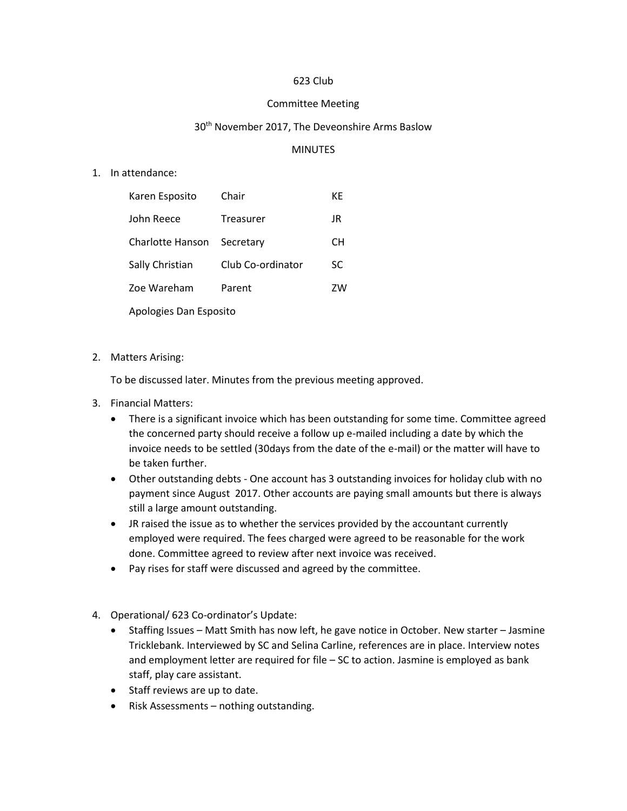### 623 Club

#### Committee Meeting

#### 30<sup>th</sup> November 2017, The Deveonshire Arms Baslow

### MINUTES

1. In attendance:

| Karen Esposito         | Chair             | КF |
|------------------------|-------------------|----|
| John Reece             | Treasurer         | JR |
| Charlotte Hanson       | Secretary         | CН |
| Sally Christian        | Club Co-ordinator | SC |
| Zoe Wareham            | Parent            | ZW |
| Apologies Dan Esposito |                   |    |

2. Matters Arising:

To be discussed later. Minutes from the previous meeting approved.

- 3. Financial Matters:
	- There is a significant invoice which has been outstanding for some time. Committee agreed the concerned party should receive a follow up e-mailed including a date by which the invoice needs to be settled (30days from the date of the e-mail) or the matter will have to be taken further.
	- Other outstanding debts One account has 3 outstanding invoices for holiday club with no payment since August 2017. Other accounts are paying small amounts but there is always still a large amount outstanding.
	- JR raised the issue as to whether the services provided by the accountant currently employed were required. The fees charged were agreed to be reasonable for the work done. Committee agreed to review after next invoice was received.
	- Pay rises for staff were discussed and agreed by the committee.
- 4. Operational/ 623 Co-ordinator's Update:
	- Staffing Issues Matt Smith has now left, he gave notice in October. New starter Jasmine Tricklebank. Interviewed by SC and Selina Carline, references are in place. Interview notes and employment letter are required for file – SC to action. Jasmine is employed as bank staff, play care assistant.
	- Staff reviews are up to date.
	- Risk Assessments nothing outstanding.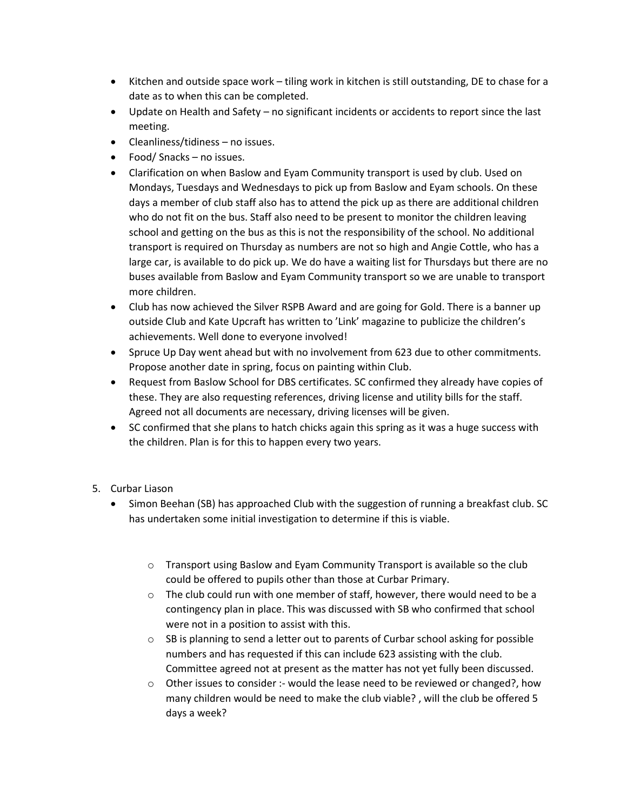- Kitchen and outside space work tiling work in kitchen is still outstanding, DE to chase for a date as to when this can be completed.
- Update on Health and Safety no significant incidents or accidents to report since the last meeting.
- Cleanliness/tidiness no issues.
- Food/ Snacks no issues.
- Clarification on when Baslow and Eyam Community transport is used by club. Used on Mondays, Tuesdays and Wednesdays to pick up from Baslow and Eyam schools. On these days a member of club staff also has to attend the pick up as there are additional children who do not fit on the bus. Staff also need to be present to monitor the children leaving school and getting on the bus as this is not the responsibility of the school. No additional transport is required on Thursday as numbers are not so high and Angie Cottle, who has a large car, is available to do pick up. We do have a waiting list for Thursdays but there are no buses available from Baslow and Eyam Community transport so we are unable to transport more children.
- Club has now achieved the Silver RSPB Award and are going for Gold. There is a banner up outside Club and Kate Upcraft has written to 'Link' magazine to publicize the children's achievements. Well done to everyone involved!
- Spruce Up Day went ahead but with no involvement from 623 due to other commitments. Propose another date in spring, focus on painting within Club.
- Request from Baslow School for DBS certificates. SC confirmed they already have copies of these. They are also requesting references, driving license and utility bills for the staff. Agreed not all documents are necessary, driving licenses will be given.
- SC confirmed that she plans to hatch chicks again this spring as it was a huge success with the children. Plan is for this to happen every two years.

# 5. Curbar Liason

- Simon Beehan (SB) has approached Club with the suggestion of running a breakfast club. SC has undertaken some initial investigation to determine if this is viable.
	- $\circ$  Transport using Baslow and Eyam Community Transport is available so the club could be offered to pupils other than those at Curbar Primary.
	- $\circ$  The club could run with one member of staff, however, there would need to be a contingency plan in place. This was discussed with SB who confirmed that school were not in a position to assist with this.
	- $\circ$  SB is planning to send a letter out to parents of Curbar school asking for possible numbers and has requested if this can include 623 assisting with the club. Committee agreed not at present as the matter has not yet fully been discussed.
	- $\circ$  Other issues to consider :- would the lease need to be reviewed or changed?, how many children would be need to make the club viable? , will the club be offered 5 days a week?